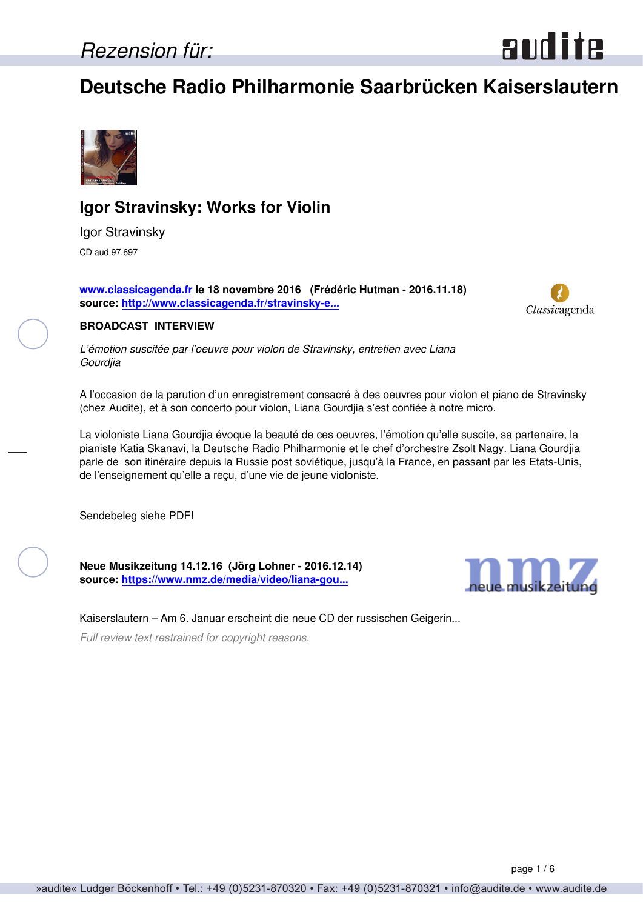### **Deutsche Radio Philharmonie Saarbrücken Kaiserslautern**



### **Igor Stravinsky: Works for Violin**

Igor Stravinsky CD aud 97.697

**[www.classicagenda.fr](http://www.classicagenda.fr) le 18 novembre 2016 (Frédéric Hutman - 2016.11.18) source: [http://www.classicagenda.fr/stravinsky-e...](http://www.classicagenda.fr/stravinsky-entretien-avec-liana-gourdjia/)**



audite

#### **BROADCAST INTERVIEW**

*L'émotion suscitée par l'oeuvre pour violon de Stravinsky, entretien avec Liana Gourdjia*

A l'occasion de la parution d'un enregistrement consacré à des oeuvres pour violon et piano de Stravinsky (chez Audite), et à son concerto pour violon, Liana Gourdjia s'est confiée à notre micro.

La violoniste Liana Gourdjia évoque la beauté de ces oeuvres, l'émotion qu'elle suscite, sa partenaire, la pianiste Katia Skanavi, la Deutsche Radio Philharmonie et le chef d'orchestre Zsolt Nagy. Liana Gourdjia parle de son itinéraire depuis la Russie post soviétique, jusqu'à la France, en passant par les Etats-Unis, de l'enseignement qu'elle a reçu, d'une vie de jeune violoniste.

Sendebeleg siehe PDF!

**Neue Musikzeitung 14.12.16 (Jörg Lohner - 2016.12.14) source: [https://www.nmz.de/media/video/liana-gou...](https://www.nmz.de/media/video/liana-gourdjia-plays-strawinsky)**



Kaiserslautern – Am 6. Januar erscheint die neue CD der russischen Geigerin...

*Full review text restrained for copyright reasons.*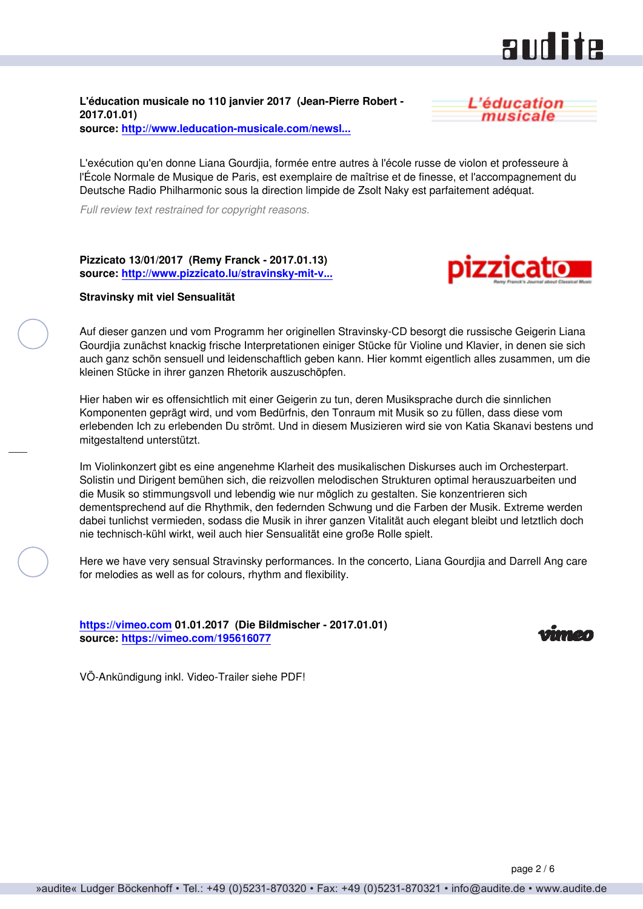### **RUILLE**

**L'éducation musicale no 110 janvier 2017 (Jean-Pierre Robert - 2017.01.01) source: [http://www.leducation-musicale.com/newsl...](http://www.leducation-musicale.com/newsletters/breves0117.html#cd26)**



L'exécution qu'en donne Liana Gourdjia, formée entre autres à l'école russe de violon et professeure à l'École Normale de Musique de Paris, est exemplaire de maîtrise et de finesse, et l'accompagnement du Deutsche Radio Philharmonic sous la direction limpide de Zsolt Naky est parfaitement adéquat.

*Full review text restrained for copyright reasons.*

**Pizzicato 13/01/2017 (Remy Franck - 2017.01.13) source: [http://www.pizzicato.lu/stravinsky-mit-v...](http://www.pizzicato.lu/stravinsky-mit-viel-sensualitat/)**



#### **Stravinsky mit viel Sensualität**

Auf dieser ganzen und vom Programm her originellen Stravinsky-CD besorgt die russische Geigerin Liana Gourdjia zunächst knackig frische Interpretationen einiger Stücke für Violine und Klavier, in denen sie sich auch ganz schön sensuell und leidenschaftlich geben kann. Hier kommt eigentlich alles zusammen, um die kleinen Stücke in ihrer ganzen Rhetorik auszuschöpfen.

Hier haben wir es offensichtlich mit einer Geigerin zu tun, deren Musiksprache durch die sinnlichen Komponenten geprägt wird, und vom Bedürfnis, den Tonraum mit Musik so zu füllen, dass diese vom erlebenden Ich zu erlebenden Du strömt. Und in diesem Musizieren wird sie von Katia Skanavi bestens und mitgestaltend unterstützt.

Im Violinkonzert gibt es eine angenehme Klarheit des musikalischen Diskurses auch im Orchesterpart. Solistin und Dirigent bemühen sich, die reizvollen melodischen Strukturen optimal herauszuarbeiten und die Musik so stimmungsvoll und lebendig wie nur möglich zu gestalten. Sie konzentrieren sich dementsprechend auf die Rhythmik, den federnden Schwung und die Farben der Musik. Extreme werden dabei tunlichst vermieden, sodass die Musik in ihrer ganzen Vitalität auch elegant bleibt und letztlich doch nie technisch-kühl wirkt, weil auch hier Sensualität eine große Rolle spielt.

Here we have very sensual Stravinsky performances. In the concerto, Liana Gourdjia and Darrell Ang care for melodies as well as for colours, rhythm and flexibility.

**<https://vimeo.com> 01.01.2017 (Die Bildmischer - 2017.01.01) source: <https://vimeo.com/195616077>**



VÖ-Ankündigung inkl. Video-Trailer siehe PDF!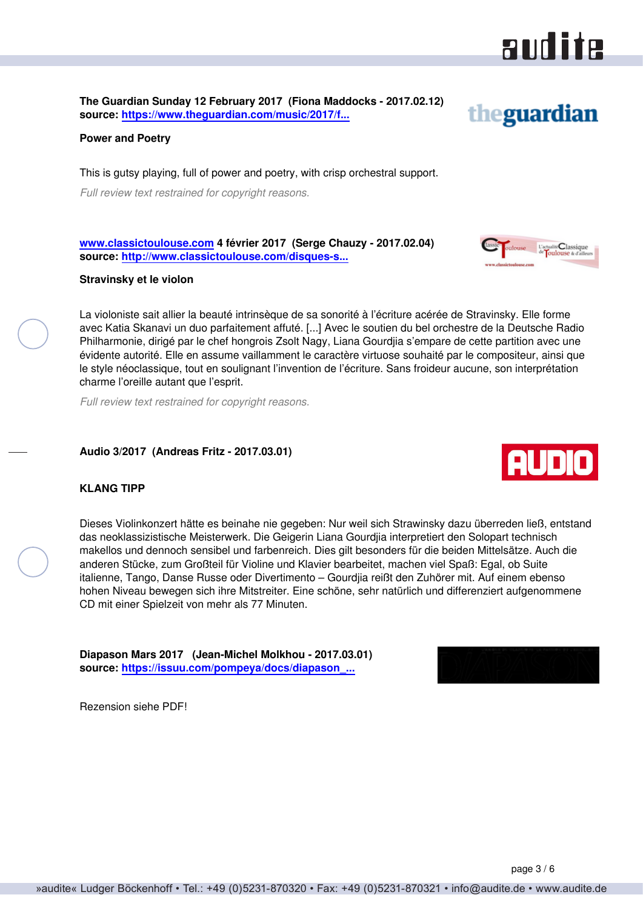

theguardian

**The Guardian Sunday 12 February 2017 (Fiona Maddocks - 2017.02.12) source: [https://www.theguardian.com/music/2017/f...](https://www.theguardian.com/music/2017/feb/12/stravinsky-violin-concerto-works-for-violin-and-piano-review-liana-gourdjia-katia-)**

**Power and Poetry**

This is gutsy playing, full of power and poetry, with crisp orchestral support.

*Full review text restrained for copyright reasons.*

**[www.classictoulouse.com](http://www.classictoulouse.com) 4 février 2017 (Serge Chauzy - 2017.02.04) source: [http://www.classictoulouse.com/disques-s...](http://www.classictoulouse.com/disques-stravinsky-gourdjia.html)**

#### **Stravinsky et le violon**

La violoniste sait allier la beauté intrinsèque de sa sonorité à l'écriture acérée de Stravinsky. Elle forme avec Katia Skanavi un duo parfaitement affuté. [...] Avec le soutien du bel orchestre de la Deutsche Radio Philharmonie, dirigé par le chef hongrois Zsolt Nagy, Liana Gourdjia s'empare de cette partition avec une évidente autorité. Elle en assume vaillamment le caractère virtuose souhaité par le compositeur, ainsi que le style néoclassique, tout en soulignant l'invention de l'écriture. Sans froideur aucune, son interprétation charme l'oreille autant que l'esprit.

*Full review text restrained for copyright reasons.*

#### **Audio 3/2017 (Andreas Fritz - 2017.03.01)**

#### **KLANG TIPP**

Dieses Violinkonzert hätte es beinahe nie gegeben: Nur weil sich Strawinsky dazu überreden ließ, entstand das neoklassizistische Meisterwerk. Die Geigerin Liana Gourdjia interpretiert den Solopart technisch makellos und dennoch sensibel und farbenreich. Dies gilt besonders für die beiden Mittelsätze. Auch die anderen Stücke, zum Großteil für Violine und Klavier bearbeitet, machen viel Spaß: Egal, ob Suite italienne, Tango, Danse Russe oder Divertimento – Gourdjia reißt den Zuhörer mit. Auf einem ebenso hohen Niveau bewegen sich ihre Mitstreiter. Eine schöne, sehr natürlich und differenziert aufgenommene CD mit einer Spielzeit von mehr als 77 Minuten.

**Diapason Mars 2017 (Jean-Michel Molkhou - 2017.03.01) source: [https://issuu.com/pompeya/docs/diapason\\_...](https://issuu.com/pompeya/docs/diapason_france__mars_2017)**

Rezension siehe PDF!





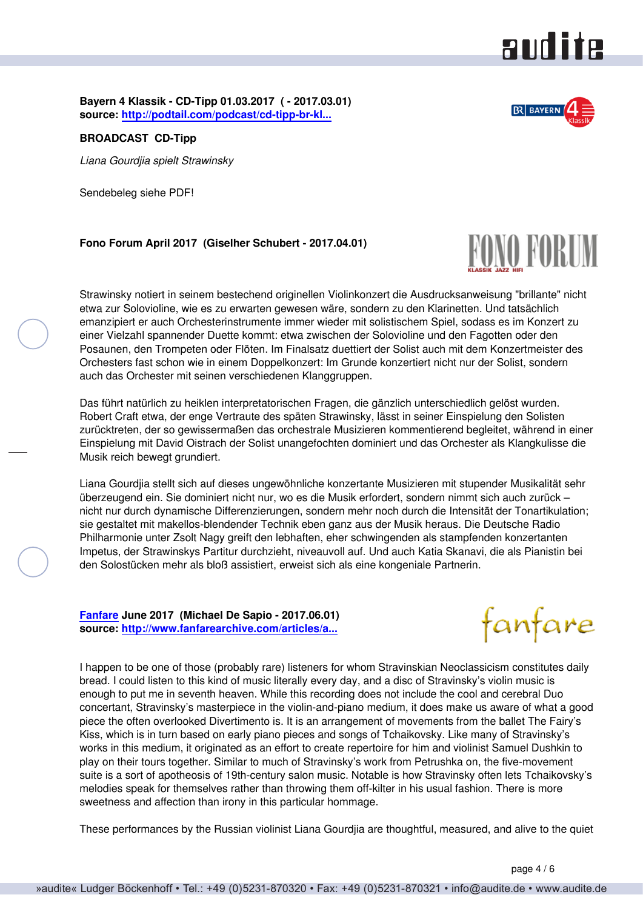

**Bayern 4 Klassik - CD-Tipp 01.03.2017 ( - 2017.03.01) source: [http://podtail.com/podcast/cd-tipp-br-kl...](http://podtail.com/podcast/cd-tipp-br-klassik/liana-gourdjia-spielt-strawinsky-01-03-2017/)**

**BROADCAST CD-Tipp**

*Liana Gourdjia spielt Strawinsky*

Sendebeleg siehe PDF!

**Fono Forum April 2017 (Giselher Schubert - 2017.04.01)**

Strawinsky notiert in seinem bestechend originellen Violinkonzert die Ausdrucksanweisung "brillante" nicht etwa zur Solovioline, wie es zu erwarten gewesen wäre, sondern zu den Klarinetten. Und tatsächlich emanzipiert er auch Orchesterinstrumente immer wieder mit solistischem Spiel, sodass es im Konzert zu einer Vielzahl spannender Duette kommt: etwa zwischen der Solovioline und den Fagotten oder den Posaunen, den Trompeten oder Flöten. Im Finalsatz duettiert der Solist auch mit dem Konzertmeister des Orchesters fast schon wie in einem Doppelkonzert: Im Grunde konzertiert nicht nur der Solist, sondern auch das Orchester mit seinen verschiedenen Klanggruppen.

Das führt natürlich zu heiklen interpretatorischen Fragen, die gänzlich unterschiedlich gelöst wurden. Robert Craft etwa, der enge Vertraute des späten Strawinsky, lässt in seiner Einspielung den Solisten zurücktreten, der so gewissermaßen das orchestrale Musizieren kommentierend begleitet, während in einer Einspielung mit David Oistrach der Solist unangefochten dominiert und das Orchester als Klangkulisse die Musik reich bewegt grundiert.

Liana Gourdjia stellt sich auf dieses ungewöhnliche konzertante Musizieren mit stupender Musikalität sehr überzeugend ein. Sie dominiert nicht nur, wo es die Musik erfordert, sondern nimmt sich auch zurück – nicht nur durch dynamische Differenzierungen, sondern mehr noch durch die Intensität der Tonartikulation; sie gestaltet mit makellos-blendender Technik eben ganz aus der Musik heraus. Die Deutsche Radio Philharmonie unter Zsolt Nagy greift den lebhaften, eher schwingenden als stampfenden konzertanten Impetus, der Strawinskys Partitur durchzieht, niveauvoll auf. Und auch Katia Skanavi, die als Pianistin bei den Solostücken mehr als bloß assistiert, erweist sich als eine kongeniale Partnerin.

**[Fanfare](http://www.fanfaremag.com/) June 2017 (Michael De Sapio - 2017.06.01) source: [http://www.fanfarearchive.com/articles/a...](http://www.fanfarearchive.com/articles/atop/40_6/4063350.az_STRAVINSKY_Chanson_Russe_Danse.html)**



I happen to be one of those (probably rare) listeners for whom Stravinskian Neoclassicism constitutes daily bread. I could listen to this kind of music literally every day, and a disc of Stravinsky's violin music is enough to put me in seventh heaven. While this recording does not include the cool and cerebral Duo concertant, Stravinsky's masterpiece in the violin-and-piano medium, it does make us aware of what a good piece the often overlooked Divertimento is. It is an arrangement of movements from the ballet The Fairy's Kiss, which is in turn based on early piano pieces and songs of Tchaikovsky. Like many of Stravinsky's works in this medium, it originated as an effort to create repertoire for him and violinist Samuel Dushkin to play on their tours together. Similar to much of Stravinsky's work from Petrushka on, the five-movement suite is a sort of apotheosis of 19th-century salon music. Notable is how Stravinsky often lets Tchaikovsky's melodies speak for themselves rather than throwing them off-kilter in his usual fashion. There is more sweetness and affection than irony in this particular hommage.

These performances by the Russian violinist Liana Gourdjia are thoughtful, measured, and alive to the quiet



FONO FORUM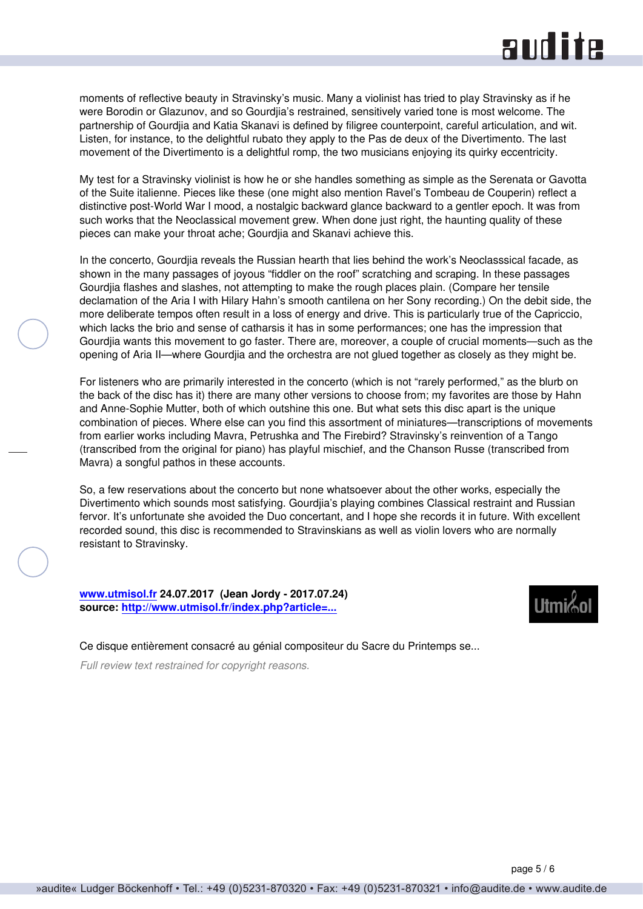## **audite**

moments of reflective beauty in Stravinsky's music. Many a violinist has tried to play Stravinsky as if he were Borodin or Glazunov, and so Gourdjia's restrained, sensitively varied tone is most welcome. The partnership of Gourdjia and Katia Skanavi is defined by filigree counterpoint, careful articulation, and wit. Listen, for instance, to the delightful rubato they apply to the Pas de deux of the Divertimento. The last movement of the Divertimento is a delightful romp, the two musicians enjoying its quirky eccentricity.

My test for a Stravinsky violinist is how he or she handles something as simple as the Serenata or Gavotta of the Suite italienne. Pieces like these (one might also mention Ravel's Tombeau de Couperin) reflect a distinctive post-World War I mood, a nostalgic backward glance backward to a gentler epoch. It was from such works that the Neoclassical movement grew. When done just right, the haunting quality of these pieces can make your throat ache; Gourdjia and Skanavi achieve this.

In the concerto, Gourdjia reveals the Russian hearth that lies behind the work's Neoclasssical facade, as shown in the many passages of joyous "fiddler on the roof" scratching and scraping. In these passages Gourdjia flashes and slashes, not attempting to make the rough places plain. (Compare her tensile declamation of the Aria I with Hilary Hahn's smooth cantilena on her Sony recording.) On the debit side, the more deliberate tempos often result in a loss of energy and drive. This is particularly true of the Capriccio, which lacks the brio and sense of catharsis it has in some performances; one has the impression that Gourdjia wants this movement to go faster. There are, moreover, a couple of crucial moments—such as the opening of Aria II—where Gourdjia and the orchestra are not glued together as closely as they might be.

For listeners who are primarily interested in the concerto (which is not "rarely performed," as the blurb on the back of the disc has it) there are many other versions to choose from; my favorites are those by Hahn and Anne-Sophie Mutter, both of which outshine this one. But what sets this disc apart is the unique combination of pieces. Where else can you find this assortment of miniatures—transcriptions of movements from earlier works including Mavra, Petrushka and The Firebird? Stravinsky's reinvention of a Tango (transcribed from the original for piano) has playful mischief, and the Chanson Russe (transcribed from Mavra) a songful pathos in these accounts.

So, a few reservations about the concerto but none whatsoever about the other works, especially the Divertimento which sounds most satisfying. Gourdjia's playing combines Classical restraint and Russian fervor. It's unfortunate she avoided the Duo concertant, and I hope she records it in future. With excellent recorded sound, this disc is recommended to Stravinskians as well as violin lovers who are normally resistant to Stravinsky.

**[www.utmisol.fr](http://www.utmisol.fr) 24.07.2017 (Jean Jordy - 2017.07.24) source: [http://www.utmisol.fr/index.php?article=...](http://www.utmisol.fr/index.php?article=830)**



Ce disque entièrement consacré au génial compositeur du Sacre du Printemps se...

*Full review text restrained for copyright reasons.*